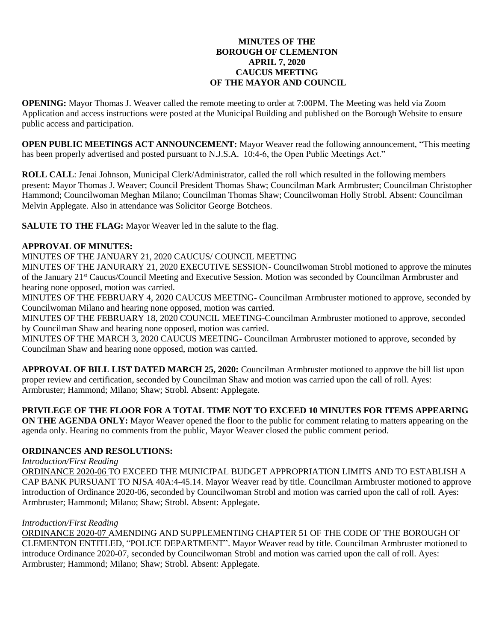## **MINUTES OF THE BOROUGH OF CLEMENTON APRIL 7, 2020 CAUCUS MEETING OF THE MAYOR AND COUNCIL**

**OPENING:** Mayor Thomas J. Weaver called the remote meeting to order at 7:00PM. The Meeting was held via Zoom Application and access instructions were posted at the Municipal Building and published on the Borough Website to ensure public access and participation.

**OPEN PUBLIC MEETINGS ACT ANNOUNCEMENT:** Mayor Weaver read the following announcement, "This meeting has been properly advertised and posted pursuant to N.J.S.A. 10:4-6, the Open Public Meetings Act."

**ROLL CALL**: Jenai Johnson, Municipal Clerk/Administrator, called the roll which resulted in the following members present: Mayor Thomas J. Weaver; Council President Thomas Shaw; Councilman Mark Armbruster; Councilman Christopher Hammond; Councilwoman Meghan Milano; Councilman Thomas Shaw; Councilwoman Holly Strobl. Absent: Councilman Melvin Applegate. Also in attendance was Solicitor George Botcheos.

**SALUTE TO THE FLAG:** Mayor Weaver led in the salute to the flag.

# **APPROVAL OF MINUTES:**

MINUTES OF THE JANUARY 21, 2020 CAUCUS/ COUNCIL MEETING

MINUTES OF THE JANURARY 21, 2020 EXECUTIVE SESSION- Councilwoman Strobl motioned to approve the minutes of the January 21st Caucus/Council Meeting and Executive Session. Motion was seconded by Councilman Armbruster and hearing none opposed, motion was carried.

MINUTES OF THE FEBRUARY 4, 2020 CAUCUS MEETING- Councilman Armbruster motioned to approve, seconded by Councilwoman Milano and hearing none opposed, motion was carried.

MINUTES OF THE FEBRUARY 18, 2020 COUNCIL MEETING-Councilman Armbruster motioned to approve, seconded by Councilman Shaw and hearing none opposed, motion was carried.

MINUTES OF THE MARCH 3, 2020 CAUCUS MEETING- Councilman Armbruster motioned to approve, seconded by Councilman Shaw and hearing none opposed, motion was carried.

**APPROVAL OF BILL LIST DATED MARCH 25, 2020:** Councilman Armbruster motioned to approve the bill list upon proper review and certification, seconded by Councilman Shaw and motion was carried upon the call of roll. Ayes: Armbruster; Hammond; Milano; Shaw; Strobl. Absent: Applegate.

# **PRIVILEGE OF THE FLOOR FOR A TOTAL TIME NOT TO EXCEED 10 MINUTES FOR ITEMS APPEARING**

**ON THE AGENDA ONLY:** Mayor Weaver opened the floor to the public for comment relating to matters appearing on the agenda only. Hearing no comments from the public, Mayor Weaver closed the public comment period.

# **ORDINANCES AND RESOLUTIONS:**

*Introduction/First Reading*

ORDINANCE 2020-06 TO EXCEED THE MUNICIPAL BUDGET APPROPRIATION LIMITS AND TO ESTABLISH A CAP BANK PURSUANT TO NJSA 40A:4-45.14. Mayor Weaver read by title. Councilman Armbruster motioned to approve introduction of Ordinance 2020-06, seconded by Councilwoman Strobl and motion was carried upon the call of roll. Ayes: Armbruster; Hammond; Milano; Shaw; Strobl. Absent: Applegate.

## *Introduction/First Reading*

ORDINANCE 2020-07 AMENDING AND SUPPLEMENTING CHAPTER 51 OF THE CODE OF THE BOROUGH OF CLEMENTON ENTITLED, "POLICE DEPARTMENT". Mayor Weaver read by title. Councilman Armbruster motioned to introduce Ordinance 2020-07, seconded by Councilwoman Strobl and motion was carried upon the call of roll. Ayes: Armbruster; Hammond; Milano; Shaw; Strobl. Absent: Applegate.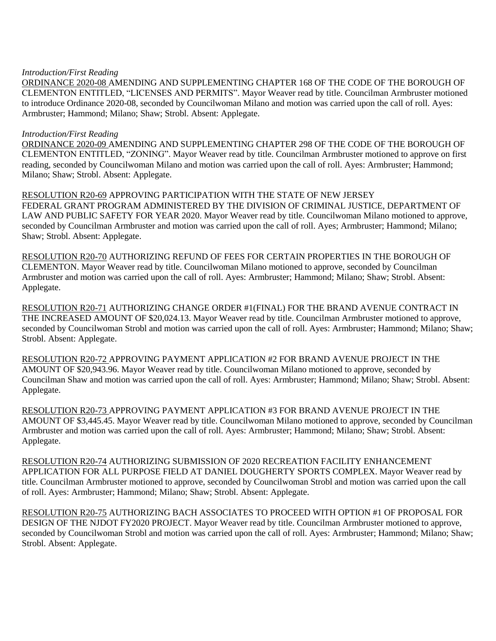#### *Introduction/First Reading*

ORDINANCE 2020-08 AMENDING AND SUPPLEMENTING CHAPTER 168 OF THE CODE OF THE BOROUGH OF CLEMENTON ENTITLED, "LICENSES AND PERMITS". Mayor Weaver read by title. Councilman Armbruster motioned to introduce Ordinance 2020-08, seconded by Councilwoman Milano and motion was carried upon the call of roll. Ayes: Armbruster; Hammond; Milano; Shaw; Strobl. Absent: Applegate.

## *Introduction/First Reading*

ORDINANCE 2020-09 AMENDING AND SUPPLEMENTING CHAPTER 298 OF THE CODE OF THE BOROUGH OF CLEMENTON ENTITLED, "ZONING". Mayor Weaver read by title. Councilman Armbruster motioned to approve on first reading, seconded by Councilwoman Milano and motion was carried upon the call of roll. Ayes: Armbruster; Hammond; Milano; Shaw; Strobl. Absent: Applegate.

RESOLUTION R20-69 APPROVING PARTICIPATION WITH THE STATE OF NEW JERSEY FEDERAL GRANT PROGRAM ADMINISTERED BY THE DIVISION OF CRIMINAL JUSTICE, DEPARTMENT OF LAW AND PUBLIC SAFETY FOR YEAR 2020. Mayor Weaver read by title. Councilwoman Milano motioned to approve, seconded by Councilman Armbruster and motion was carried upon the call of roll. Ayes; Armbruster; Hammond; Milano; Shaw; Strobl. Absent: Applegate.

RESOLUTION R20-70 AUTHORIZING REFUND OF FEES FOR CERTAIN PROPERTIES IN THE BOROUGH OF CLEMENTON. Mayor Weaver read by title. Councilwoman Milano motioned to approve, seconded by Councilman Armbruster and motion was carried upon the call of roll. Ayes: Armbruster; Hammond; Milano; Shaw; Strobl. Absent: Applegate.

RESOLUTION R20-71 AUTHORIZING CHANGE ORDER #1(FINAL) FOR THE BRAND AVENUE CONTRACT IN THE INCREASED AMOUNT OF \$20,024.13. Mayor Weaver read by title. Councilman Armbruster motioned to approve, seconded by Councilwoman Strobl and motion was carried upon the call of roll. Ayes: Armbruster; Hammond; Milano; Shaw; Strobl. Absent: Applegate.

RESOLUTION R20-72 APPROVING PAYMENT APPLICATION #2 FOR BRAND AVENUE PROJECT IN THE AMOUNT OF \$20,943.96. Mayor Weaver read by title. Councilwoman Milano motioned to approve, seconded by Councilman Shaw and motion was carried upon the call of roll. Ayes: Armbruster; Hammond; Milano; Shaw; Strobl. Absent: Applegate.

RESOLUTION R20-73 APPROVING PAYMENT APPLICATION #3 FOR BRAND AVENUE PROJECT IN THE AMOUNT OF \$3,445.45. Mayor Weaver read by title. Councilwoman Milano motioned to approve, seconded by Councilman Armbruster and motion was carried upon the call of roll. Ayes: Armbruster; Hammond; Milano; Shaw; Strobl. Absent: Applegate.

RESOLUTION R20-74 AUTHORIZING SUBMISSION OF 2020 RECREATION FACILITY ENHANCEMENT APPLICATION FOR ALL PURPOSE FIELD AT DANIEL DOUGHERTY SPORTS COMPLEX. Mayor Weaver read by title. Councilman Armbruster motioned to approve, seconded by Councilwoman Strobl and motion was carried upon the call of roll. Ayes: Armbruster; Hammond; Milano; Shaw; Strobl. Absent: Applegate.

RESOLUTION R20-75 AUTHORIZING BACH ASSOCIATES TO PROCEED WITH OPTION #1 OF PROPOSAL FOR DESIGN OF THE NJDOT FY2020 PROJECT. Mayor Weaver read by title. Councilman Armbruster motioned to approve, seconded by Councilwoman Strobl and motion was carried upon the call of roll. Ayes: Armbruster; Hammond; Milano; Shaw; Strobl. Absent: Applegate.